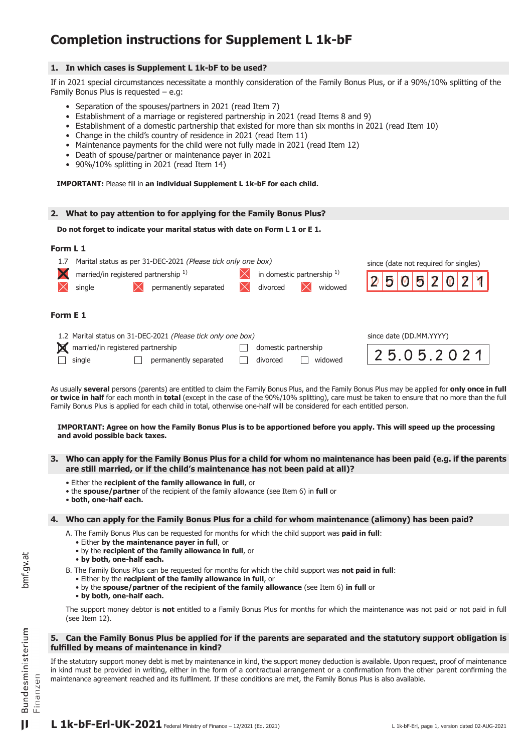# **Completion instructions for Supplement L 1k-bF**

# **1. In which cases is Supplement L 1k-bF to be used?**

If in 2021 special circumstances necessitate a monthly consideration of the Family Bonus Plus, or if a 90%/10% splitting of the Family Bonus Plus is requested – e.g:

- Separation of the spouses/partners in 2021 (read Item 7)
- • Establishment of a marriage or registered partnership in 2021 (read Items 8 and 9)
- • Establishment of a domestic partnership that existed for more than six months in 2021 (read Item 10)
- Change in the child's country of residence in 2021 (read Item 11)
- Maintenance payments for the child were not fully made in 2021 (read Item 12)
- Death of spouse/partner or maintenance payer in 2021
- 90%/10% splitting in 2021 (read Item 14)

**IMPORTANT:** Please fill in **an individual Supplement L 1k-bF for each child.**

## **2. What to pay attention to for applying for the Family Bonus Plus?**

```
Do not forget to indicate your marital status with date on Form L 1 or E 1.
```
## **Form L 1**

| 1.7      | Marital status as per 31-DEC-2021 (Please tick only one box)<br>married/in registered partnership <sup>1)</sup><br>permanently separated<br>single | since (date not required for singles)<br>$5\overline{\smash{2}}$<br>$\boldsymbol{0}$ |                         |
|----------|----------------------------------------------------------------------------------------------------------------------------------------------------|--------------------------------------------------------------------------------------|-------------------------|
| Form E 1 |                                                                                                                                                    |                                                                                      |                         |
|          | 1.2 Marital status on 31-DEC-2021 (Please tick only one box)<br>married/in registered partnership                                                  | domestic partnership                                                                 | since date (DD.MM.YYYY) |

| married/in registered partnership |  |                              | $\Box$ domestic partnership |         |  |
|-----------------------------------|--|------------------------------|-----------------------------|---------|--|
| $\Box$ single                     |  | $\Box$ permanently separated | divorced                    | widowed |  |

| 0.5.2 |
|-------|
|-------|

As usually **several** persons (parents) are entitled to claim the Family Bonus Plus, and the Family Bonus Plus may be applied for **only once in full or twice in half** for each month in **total** (except in the case of the 90%/10% splitting), care must be taken to ensure that no more than the full Family Bonus Plus is applied for each child in total, otherwise one-half will be considered for each entitled person.

#### **IMPORTANT: Agree on how the Family Bonus Plus is to be apportioned before you apply. This will speed up the processing and avoid possible back taxes.**

- **3. Who can apply for the Family Bonus Plus for a child for whom no maintenance has been paid (e.g. if the parents are still married, or if the child's maintenance has not been paid at all)?**
	- Either the **recipient of the family allowance in full**, or
	- the **spouse/partner** of the recipient of the family allowance (see Item 6) in **full** or
	- **both, one-half each.**

## **4. Who can apply for the Family Bonus Plus for a child for whom maintenance (alimony) has been paid?**

 A. The Family Bonus Plus can be requested for months for which the child support was **paid in full**:

- Either **by the maintenance payer in full**, or
- by the **recipient of the family allowance in full**, or
- **by both, one-half each.**
- B. The Family Bonus Plus can be requested for months for which the child support was **not paid in full**:
	- Either by the **recipient of the family allowance in full**, or
	- by the **spouse/partner of the recipient of the family allowance** (see Item 6) **in full** or
	- **by both, one-half each.**

The support money debtor is **not** entitled to a Family Bonus Plus for months for which the maintenance was not paid or not paid in full (see Item 12).

#### **5. Can the Family Bonus Plus be applied for if the parents are separated and the statutory support obligation is fulfilled by means of maintenance in kind?**

If the statutory support money debt is met by maintenance in kind, the support money deduction is available. Upon request, proof of maintenance in kind must be provided in writing, either in the form of a contractual arrangement or a confirmation from the other parent confirming the maintenance agreement reached and its fulfilment. If these conditions are met, the Family Bonus Plus is also available.

bmf.gv.at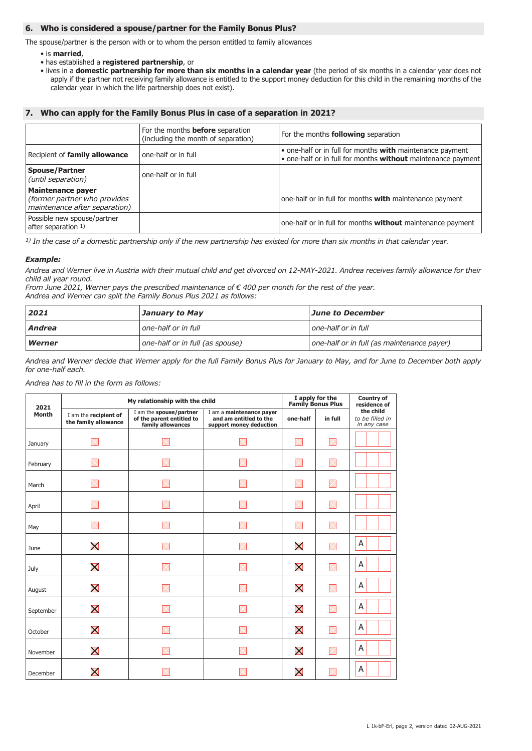# **6. Who is considered a spouse/partner for the Family Bonus Plus?**

The spouse/partner is the person with or to whom the person entitled to family allowances

- is **married**,
- has established a **registered partnership**, or
- lives in a **domestic partnership for more than six months in a calendar year** (the period of six months in a calendar year does not apply if the partner not receiving family allowance is entitled to the support money deduction for this child in the remaining months of the calendar year in which the life partnership does not exist).

# **7. Who can apply for the Family Bonus Plus in case of a separation in 2021?**

|                                                                                           | For the months <b>before</b> separation<br>(including the month of separation) | For the months <b>following</b> separation                                                                                |
|-------------------------------------------------------------------------------------------|--------------------------------------------------------------------------------|---------------------------------------------------------------------------------------------------------------------------|
| Recipient of family allowance                                                             | one-half or in full                                                            | • one-half or in full for months with maintenance payment<br>. one-half or in full for months without maintenance payment |
| <b>Spouse/Partner</b><br>(until separation)                                               | one-half or in full                                                            |                                                                                                                           |
| <b>Maintenance payer</b><br>(former partner who provides<br>maintenance after separation) |                                                                                | one-half or in full for months with maintenance payment                                                                   |
| Possible new spouse/partner<br>after separation 1)                                        |                                                                                | one-half or in full for months <b>without</b> maintenance payment                                                         |

*1) In the case of a domestic partnership only if the new partnership has existed for more than six months in that calendar year.*

## *Example:*

*Andrea and Werner live in Austria with their mutual child and get divorced on 12-MAY-2021. Andrea receives family allowance for their child all year round.*

*From June 2021, Werner pays the prescribed maintenance of € 400 per month for the rest of the year. Andrea and Werner can split the Family Bonus Plus 2021 as follows:*

| 2021<br>June to December<br>January to May |                                 |                                            |
|--------------------------------------------|---------------------------------|--------------------------------------------|
| Andrea                                     | one-half or in full             | l one-half or in full                      |
| Werner                                     | one-half or in full (as spouse) | one-half or in full (as maintenance payer) |

*Andrea and Werner decide that Werner apply for the full Family Bonus Plus for January to May, and for June to December both apply for one-half each.*

*Andrea has to fill in the form as follows:*

| 2021         |                                               | My relationship with the child                                            |                                                                               | I apply for the<br><b>Family Bonus Plus</b> |          | <b>Country of</b><br>residence of           |
|--------------|-----------------------------------------------|---------------------------------------------------------------------------|-------------------------------------------------------------------------------|---------------------------------------------|----------|---------------------------------------------|
| <b>Month</b> | I am the recipient of<br>the family allowance | I am the spouse/partner<br>of the parent entitled to<br>family allowances | I am a maintenance payer<br>and am entitled to the<br>support money deduction | one-half                                    | in full  | the child<br>to be filled in<br>in any case |
| January      |                                               |                                                                           |                                                                               |                                             |          |                                             |
| February     |                                               |                                                                           |                                                                               |                                             | $\times$ |                                             |
| March        |                                               |                                                                           |                                                                               |                                             | $\times$ |                                             |
| April        |                                               |                                                                           |                                                                               |                                             |          |                                             |
| May          |                                               |                                                                           |                                                                               |                                             |          |                                             |
| June         | X                                             |                                                                           |                                                                               | X                                           |          | A                                           |
| July         | $\bm{\mathsf{X}}$                             |                                                                           |                                                                               | X                                           | $\times$ | A                                           |
| August       | X                                             |                                                                           |                                                                               | X                                           |          | A                                           |
| September    | $\bm{\mathsf{X}}$                             |                                                                           |                                                                               | $\bm{\mathsf{X}}$                           | $\times$ | A                                           |
| October      | X                                             |                                                                           |                                                                               | X                                           | $\times$ | A                                           |
| November     | $\bm{\mathsf{X}}$                             |                                                                           |                                                                               | X                                           |          | Α                                           |
| December     | X                                             |                                                                           |                                                                               | X                                           |          | Α                                           |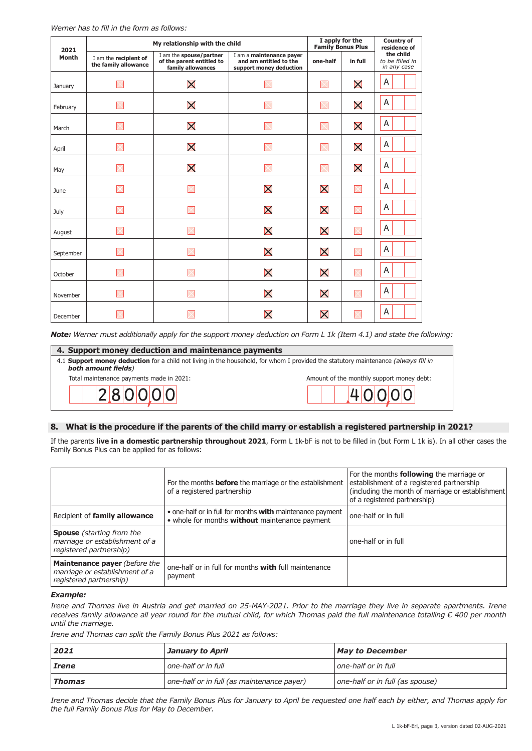| 2021         |                                               | My relationship with the child                                            |                                                                               | I apply for the<br><b>Family Bonus Plus</b> |             | <b>Country of</b><br>residence of           |  |
|--------------|-----------------------------------------------|---------------------------------------------------------------------------|-------------------------------------------------------------------------------|---------------------------------------------|-------------|---------------------------------------------|--|
| <b>Month</b> | I am the recipient of<br>the family allowance | I am the spouse/partner<br>of the parent entitled to<br>family allowances | I am a maintenance payer<br>and am entitled to the<br>support money deduction | one-half                                    | in full     | the child<br>to be filled in<br>in any case |  |
| January      |                                               | X                                                                         |                                                                               | IX                                          | X           | A                                           |  |
| February     |                                               | $\bm{\mathsf{X}}$                                                         |                                                                               |                                             | X           | A                                           |  |
| March        |                                               | X                                                                         |                                                                               |                                             | X           | A                                           |  |
| April        |                                               | $\bm{\mathsf{X}}$                                                         |                                                                               | $\mathord{\ltimes}$                         | X           | A                                           |  |
| May          |                                               | X                                                                         |                                                                               | IX                                          | X           | A                                           |  |
| June         |                                               |                                                                           | $\bm{\mathsf{X}}$                                                             | X                                           | $\times$    | A                                           |  |
| July         |                                               |                                                                           | $\bm{\mathsf{X}}$                                                             | X                                           | $\times$    | A                                           |  |
| August       |                                               |                                                                           | X                                                                             | X                                           | $\times$    | A                                           |  |
| September    |                                               |                                                                           | X                                                                             | X                                           | $\boxtimes$ | A                                           |  |
| October      |                                               |                                                                           | X                                                                             | X                                           | $\boxtimes$ | A                                           |  |
| November     |                                               |                                                                           | X                                                                             | $\bm{\mathsf{X}}$                           | $\boxtimes$ | A                                           |  |
| December     |                                               |                                                                           | $\bm{\mathsf{X}}$                                                             | X                                           | $\times$    | A                                           |  |

*Note: Werner must additionally apply for the support money deduction on Form L 1k (Item 4.1) and state the following:*

| 4. Support money deduction and maintenance payments                                                                                                       |        |  |  |  |  |  |
|-----------------------------------------------------------------------------------------------------------------------------------------------------------|--------|--|--|--|--|--|
| 4.1 Support money deduction for a child not living in the household, for whom I provided the statutory maintenance (always fill in<br>both amount fields) |        |  |  |  |  |  |
| Total maintenance payments made in 2021:<br>Amount of the monthly support money debt:                                                                     |        |  |  |  |  |  |
| 280000                                                                                                                                                    | LINNNN |  |  |  |  |  |

# **8. What is the procedure if the parents of the child marry or establish a registered partnership in 2021?**

If the parents **live in a domestic partnership throughout 2021**, Form L 1k-bF is not to be filled in (but Form L 1k is). In all other cases the Family Bonus Plus can be applied for as follows:

|                                                                                                   | For the months <b>before</b> the marriage or the establishment<br>of a registered partnership               | For the months <b>following</b> the marriage or<br>establishment of a registered partnership<br>(including the month of marriage or establishment)<br>of a registered partnership) |
|---------------------------------------------------------------------------------------------------|-------------------------------------------------------------------------------------------------------------|------------------------------------------------------------------------------------------------------------------------------------------------------------------------------------|
| Recipient of family allowance                                                                     | • one-half or in full for months with maintenance payment<br>• whole for months without maintenance payment | one-half or in full                                                                                                                                                                |
| <b>Spouse</b> (starting from the<br>marriage or establishment of a<br>registered partnership)     |                                                                                                             | one-half or in full                                                                                                                                                                |
| <b>Maintenance payer</b> (before the<br>marriage or establishment of a<br>registered partnership) | one-half or in full for months <b>with</b> full maintenance<br>payment                                      |                                                                                                                                                                                    |

#### *Example:*

*Irene and Thomas live in Austria and get married on 25-MAY-2021. Prior to the marriage they live in separate apartments. Irene receives family allowance all year round for the mutual child, for which Thomas paid the full maintenance totalling € 400 per month until the marriage.* 

*Irene and Thomas can split the Family Bonus Plus 2021 as follows:*

| 2021         | January to April                           | <b>May to December</b>          |
|--------------|--------------------------------------------|---------------------------------|
| <i>Irene</i> | l one-half or in full                      | one-half or in full             |
| Thomas       | one-half or in full (as maintenance payer) | one-half or in full (as spouse) |

*Irene and Thomas decide that the Family Bonus Plus for January to April be requested one half each by either, and Thomas apply for the full Family Bonus Plus for May to December.*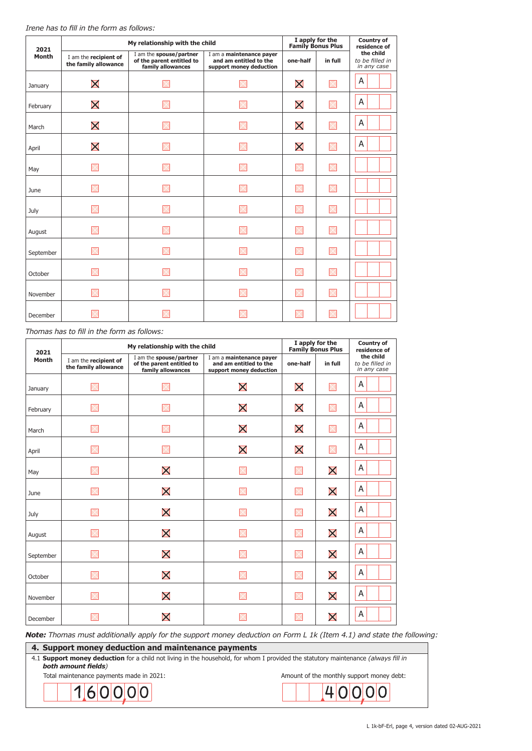| 2021         |                                               | My relationship with the child                                            |                                                                               |                   | I apply for the<br><b>Family Bonus Plus</b> | <b>Country of</b><br>residence of           |
|--------------|-----------------------------------------------|---------------------------------------------------------------------------|-------------------------------------------------------------------------------|-------------------|---------------------------------------------|---------------------------------------------|
| <b>Month</b> | I am the recipient of<br>the family allowance | I am the spouse/partner<br>of the parent entitled to<br>family allowances | I am a maintenance payer<br>and am entitled to the<br>support money deduction | one-half          | in full                                     | the child<br>to be filled in<br>in any case |
| January      | $\bm{\mathsf{X}}$                             |                                                                           |                                                                               | X                 | X                                           | A                                           |
| February     | $\bm{\mathsf{X}}$                             |                                                                           |                                                                               | X                 |                                             | A                                           |
| March        | X                                             |                                                                           |                                                                               | $\bm{\mathsf{X}}$ | $\times$                                    | A                                           |
| April        | $\bm{\mathsf{X}}$                             |                                                                           |                                                                               | X                 |                                             | A                                           |
| May          |                                               |                                                                           |                                                                               |                   |                                             |                                             |
| June         |                                               |                                                                           |                                                                               |                   |                                             |                                             |
| July         |                                               |                                                                           |                                                                               |                   |                                             |                                             |
| August       |                                               |                                                                           |                                                                               |                   | $\times$                                    |                                             |
| September    |                                               |                                                                           |                                                                               |                   |                                             |                                             |
| October      |                                               |                                                                           |                                                                               |                   |                                             |                                             |
| November     |                                               |                                                                           |                                                                               |                   |                                             |                                             |
| December     |                                               |                                                                           |                                                                               |                   |                                             |                                             |

## *Thomas has to fill in the form as follows:*

| 2021      |                                               | My relationship with the child                                            |                                                                               |                   | I apply for the<br><b>Family Bonus Plus</b> | <b>Country of</b><br>residence of           |  |
|-----------|-----------------------------------------------|---------------------------------------------------------------------------|-------------------------------------------------------------------------------|-------------------|---------------------------------------------|---------------------------------------------|--|
| Month     | I am the recipient of<br>the family allowance | I am the spouse/partner<br>of the parent entitled to<br>family allowances | I am a maintenance payer<br>and am entitled to the<br>support money deduction | one-half          | in full                                     | the child<br>to be filled in<br>in any case |  |
| January   |                                               |                                                                           | X                                                                             | $\bm{\mathsf{X}}$ | $\boxtimes$                                 | A                                           |  |
| February  |                                               |                                                                           | X                                                                             | X                 | $\boxtimes$                                 | A                                           |  |
| March     |                                               |                                                                           | X                                                                             | $\bm{\mathsf{X}}$ | $\times$                                    | A                                           |  |
| April     |                                               |                                                                           | $\bm{\mathsf{X}}$                                                             | $\bm{\mathsf{X}}$ | $\times$                                    | A                                           |  |
| May       |                                               | $\bm{\mathsf{X}}$                                                         |                                                                               | $\times$          | X                                           | A                                           |  |
| June      |                                               | $\bm{\mathsf{X}}$                                                         |                                                                               | $\times$          | $\bm{\mathsf{X}}$                           | A                                           |  |
| July      | $\times$                                      | X                                                                         | $\times$                                                                      | $\times$          | X                                           | A                                           |  |
| August    |                                               | X                                                                         |                                                                               |                   | X                                           | A                                           |  |
| September |                                               | $\bm{\mathsf{X}}$                                                         |                                                                               | $\times$          | X                                           | A                                           |  |
| October   |                                               | X                                                                         |                                                                               | $\times$          | X                                           | A                                           |  |
| November  |                                               | X                                                                         | X                                                                             | X                 | X                                           | A                                           |  |
| December  |                                               | $\bm{\mathsf{X}}$                                                         |                                                                               |                   | $\bm{\mathsf{X}}$                           | A                                           |  |

*Note: Thomas must additionally apply for the support money deduction on Form L 1k (Item 4.1) and state the following:*

**4. Support money deduction and maintenance payments** 4.1 **Support money deduction** for a child not living in the household, for whom I provided the statutory maintenance *(always fill in both amount fields)*Total maintenance payments made in 2021: Amount of the monthly support money debt:  $40000$  $1|6|0|0|0|$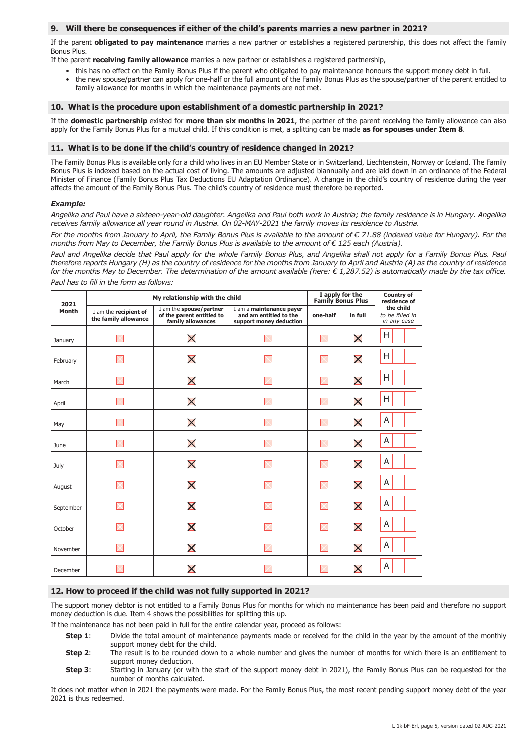#### **9. Will there be consequences if either of the child's parents marries a new partner in 2021?**

If the parent **obligated to pay maintenance** marries a new partner or establishes a registered partnership, this does not affect the Family Bonus Plus.

If the parent **receiving family allowance** marries a new partner or establishes a registered partnership,

- this has no effect on the Family Bonus Plus if the parent who obligated to pay maintenance honours the support money debt in full.
- the new spouse/partner can apply for one-half or the full amount of the Family Bonus Plus as the spouse/partner of the parent entitled to family allowance for months in which the maintenance payments are not met.

#### **10. What is the procedure upon establishment of a domestic partnership in 2021?**

If the **domestic partnership** existed for **more than six months in 2021**, the partner of the parent receiving the family allowance can also apply for the Family Bonus Plus for a mutual child. If this condition is met, a splitting can be made **as for spouses under Item 8**.

#### **11. What is to be done if the child's country of residence changed in 2021?**

The Family Bonus Plus is available only for a child who lives in an EU Member State or in Switzerland, Liechtenstein, Norway or Iceland. The Family Bonus Plus is indexed based on the actual cost of living. The amounts are adjusted biannually and are laid down in an ordinance of the Federal Minister of Finance (Family Bonus Plus Tax Deductions EU Adaptation Ordinance). A change in the child's country of residence during the year affects the amount of the Family Bonus Plus. The child's country of residence must therefore be reported.

#### *Example:*

*Angelika and Paul have a sixteen-year-old daughter. Angelika and Paul both work in Austria; the family residence is in Hungary. Angelika receives family allowance all year round in Austria. On 02-MAY-2021 the family moves its residence to Austria.*

*For the months from January to April, the Family Bonus Plus is available to the amount of € 71.88 (indexed value for Hungary). For the months from May to December, the Family Bonus Plus is available to the amount of € 125 each (Austria).*

*Paul and Angelika decide that Paul apply for the whole Family Bonus Plus, and Angelika shall not apply for a Family Bonus Plus. Paul therefore reports Hungary (H) as the country of residence for the months from January to April and Austria (A) as the country of residence for the months May to December. The determination of the amount available (here: € 1,287.52) is automatically made by the tax office. Paul has to fill in the form as follows:*

| 2021         | My relationship with the child                |                                                                           | I apply for the<br><b>Family Bonus Plus</b>                                   | <b>Country of</b><br>residence of |                   |                                             |
|--------------|-----------------------------------------------|---------------------------------------------------------------------------|-------------------------------------------------------------------------------|-----------------------------------|-------------------|---------------------------------------------|
| <b>Month</b> | I am the recipient of<br>the family allowance | I am the spouse/partner<br>of the parent entitled to<br>family allowances | I am a maintenance payer<br>and am entitled to the<br>support money deduction | one-half                          | in full           | the child<br>to be filled in<br>in any case |
| January      |                                               | X                                                                         |                                                                               | IX                                | $\bm{\mathsf{X}}$ | H                                           |
| February     |                                               | X                                                                         |                                                                               |                                   | X                 | н                                           |
| March        |                                               | $\bm{\mathsf{X}}$                                                         |                                                                               | $\mathbb{K}$                      | X                 | Н                                           |
| April        |                                               | X                                                                         |                                                                               | IX                                | $\bm{\mathsf{X}}$ | Н                                           |
| May          |                                               | $\bm{\mathsf{X}}$                                                         |                                                                               |                                   | X                 | A                                           |
| June         |                                               | X                                                                         |                                                                               |                                   | $\bm{\mathsf{X}}$ | A                                           |
| July         |                                               | $\bm{\mathsf{X}}$                                                         |                                                                               |                                   | $\bm{\mathsf{X}}$ | A                                           |
| August       |                                               | $\bm{\mathsf{X}}$                                                         |                                                                               | $\mathbb{K}$                      | X                 | A                                           |
| September    |                                               | X                                                                         |                                                                               |                                   | $\bm{\mathsf{X}}$ | Α                                           |
| October      |                                               | $\bm{\mathsf{X}}$                                                         |                                                                               |                                   | X                 | A                                           |
| November     |                                               | X                                                                         |                                                                               | IX                                | $\bm{\mathsf{X}}$ | Α                                           |
| December     |                                               | $\bm{\mathsf{X}}$                                                         |                                                                               |                                   | $\bm{\mathsf{X}}$ | A                                           |

## **12. How to proceed if the child was not fully supported in 2021?**

The support money debtor is not entitled to a Family Bonus Plus for months for which no maintenance has been paid and therefore no support money deduction is due. Item 4 shows the possibilities for splitting this up.

If the maintenance has not been paid in full for the entire calendar year, proceed as follows:

- **Step 1**: Divide the total amount of maintenance payments made or received for the child in the year by the amount of the monthly support money debt for the child.
- **Step 2:** The result is to be rounded down to a whole number and gives the number of months for which there is an entitlement to support money deduction.<br>**Step 3:** Starting in January (or with
- Starting in January (or with the start of the support money debt in 2021), the Family Bonus Plus can be requested for the number of months calculated.

It does not matter when in 2021 the payments were made. For the Family Bonus Plus, the most recent pending support money debt of the year 2021 is thus redeemed.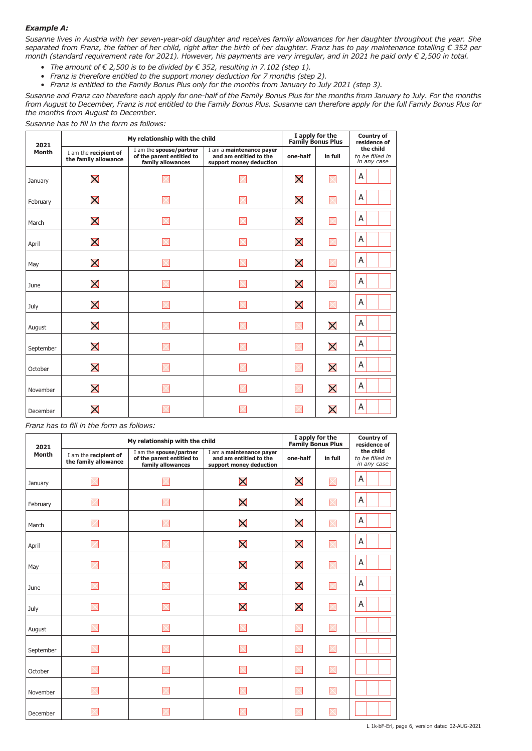## *Example A:*

*Susanne lives in Austria with her seven-year-old daughter and receives family allowances for her daughter throughout the year. She separated from Franz, the father of her child, right after the birth of her daughter. Franz has to pay maintenance totalling € 352 per month (standard requirement rate for 2021). However, his payments are very irregular, and in 2021 he paid only € 2,500 in total.*

- *• The amount of € 2,500 is to be divided by € 352, resulting in 7.102 (step 1).*
- *• Franz is therefore entitled to the support money deduction for 7 months (step 2).*
- *• Franz is entitled to the Family Bonus Plus only for the months from January to July 2021 (step 3).*

*Susanne and Franz can therefore each apply for one-half of the Family Bonus Plus for the months from January to July. For the months from August to December, Franz is not entitled to the Family Bonus Plus. Susanne can therefore apply for the full Family Bonus Plus for the months from August to December.*

*Susanne has to fill in the form as follows:*

| 2021         | My relationship with the child                |                                                                           |                                                                               |                   | I apply for the<br><b>Family Bonus Plus</b> | <b>Country of</b><br>residence of           |  |
|--------------|-----------------------------------------------|---------------------------------------------------------------------------|-------------------------------------------------------------------------------|-------------------|---------------------------------------------|---------------------------------------------|--|
| <b>Month</b> | I am the recipient of<br>the family allowance | I am the spouse/partner<br>of the parent entitled to<br>family allowances | I am a maintenance payer<br>and am entitled to the<br>support money deduction | one-half          | in full                                     | the child<br>to be filled in<br>in any case |  |
| January      | X                                             |                                                                           |                                                                               | $\bm{\mathsf{X}}$ | $\boxtimes$                                 | A                                           |  |
| February     | X                                             |                                                                           |                                                                               | X                 | $\boxtimes$                                 | A                                           |  |
| March        | X                                             |                                                                           |                                                                               | $\bm{\mathsf{X}}$ | $\boxtimes$                                 | A                                           |  |
| April        | X                                             |                                                                           |                                                                               | X                 | $\boxtimes$                                 | A                                           |  |
| May          | X                                             |                                                                           |                                                                               | X                 | M                                           | Α                                           |  |
| June         | X                                             |                                                                           |                                                                               | $\bm{\mathsf{X}}$ | M                                           | A                                           |  |
| July         | X                                             |                                                                           |                                                                               | X                 | $\boxtimes$                                 | A                                           |  |
| August       | X                                             |                                                                           |                                                                               | $\times$          | X                                           | A                                           |  |
| September    | X                                             |                                                                           |                                                                               | $\times$          | X                                           | Α                                           |  |
| October      | X                                             |                                                                           |                                                                               | $\times$          | X                                           | A                                           |  |
| November     | X                                             |                                                                           |                                                                               | $\times$          | X                                           | A                                           |  |
| December     | $\bm{\mathsf{X}}$                             |                                                                           |                                                                               |                   | $\bm{\mathsf{X}}$                           | Α                                           |  |

*Franz has to fill in the form as follows:*

| 2021         |                                               | My relationship with the child                                            |                                                                               | I apply for the<br><b>Family Bonus Plus</b> | <b>Country of</b><br>residence of |                                             |
|--------------|-----------------------------------------------|---------------------------------------------------------------------------|-------------------------------------------------------------------------------|---------------------------------------------|-----------------------------------|---------------------------------------------|
| <b>Month</b> | I am the recipient of<br>the family allowance | I am the spouse/partner<br>of the parent entitled to<br>family allowances | I am a maintenance payer<br>and am entitled to the<br>support money deduction | one-half                                    | in full                           | the child<br>to be filled in<br>in any case |
| January      |                                               |                                                                           | $\bm{\mathsf{X}}$                                                             | $\bm{\mathsf{X}}$                           | IX                                | A                                           |
| February     |                                               |                                                                           | X                                                                             | X                                           | $\boxtimes$                       | A                                           |
| March        |                                               |                                                                           | X                                                                             | X                                           | M                                 | A                                           |
| April        |                                               |                                                                           | X                                                                             | X                                           | $\mathbb{X}$                      | A                                           |
| May          |                                               |                                                                           | X                                                                             | X                                           | IX                                | A                                           |
| June         |                                               |                                                                           | X                                                                             | $\bm{\mathsf{X}}$                           | $\boxtimes$                       | A                                           |
| July         |                                               | $\times$                                                                  | X                                                                             | X                                           | IX                                | A                                           |
| August       |                                               |                                                                           |                                                                               |                                             | $\mathbb K$                       |                                             |
| September    |                                               |                                                                           |                                                                               |                                             | X                                 |                                             |
| October      |                                               |                                                                           |                                                                               |                                             | IX                                |                                             |
| November     |                                               |                                                                           |                                                                               |                                             | X                                 |                                             |
| December     |                                               |                                                                           |                                                                               |                                             |                                   |                                             |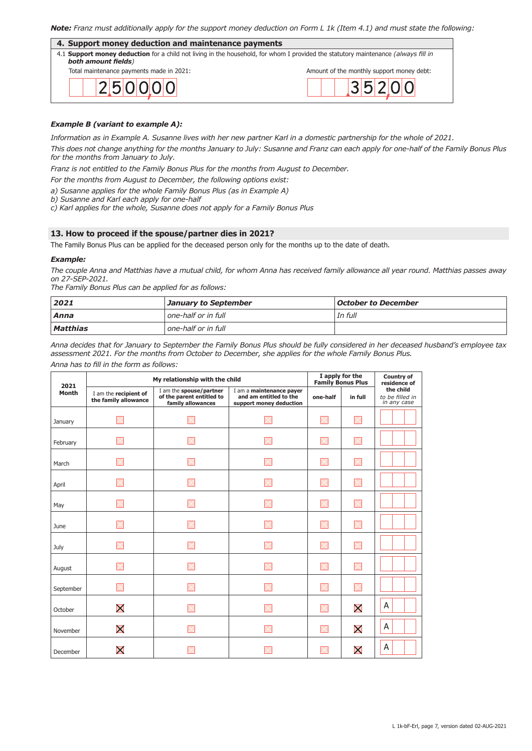# *Note: Franz must additionally apply for the support money deduction on Form L 1k (Item 4.1) and must state the following:*

| 4. Support money deduction and maintenance payments                                                                                                       |                                           |  |  |  |  |
|-----------------------------------------------------------------------------------------------------------------------------------------------------------|-------------------------------------------|--|--|--|--|
| 4.1 Support money deduction for a child not living in the household, for whom I provided the statutory maintenance (always fill in<br>both amount fields) |                                           |  |  |  |  |
| Total maintenance payments made in 2021:                                                                                                                  | Amount of the monthly support money debt: |  |  |  |  |
| 2 5 0 0 0                                                                                                                                                 | 3 5 2 0 0                                 |  |  |  |  |

## *Example B (variant to example A):*

*Information as in Example A. Susanne lives with her new partner Karl in a domestic partnership for the whole of 2021.*

*This does not change anything for the months January to July: Susanne and Franz can each apply for one-half of the Family Bonus Plus for the months from January to July.* 

*Franz is not entitled to the Family Bonus Plus for the months from August to December.* 

*For the months from August to December, the following options exist:*

*a) Susanne applies for the whole Family Bonus Plus (as in Example A)*

*b) Susanne and Karl each apply for one-half*

*c) Karl applies for the whole, Susanne does not apply for a Family Bonus Plus*

#### **13. How to proceed if the spouse/partner dies in 2021?**

The Family Bonus Plus can be applied for the deceased person only for the months up to the date of death.

#### *Example:*

*The couple Anna and Matthias have a mutual child, for whom Anna has received family allowance all year round. Matthias passes away on 27-SEP-2021.*

*The Family Bonus Plus can be applied for as follows:*

| 2021     | <b>January to September</b> | October to December |
|----------|-----------------------------|---------------------|
| Anna     | l one-half or in full       | In full             |
| Matthias | l one-half or in full       |                     |

*Anna decides that for January to September the Family Bonus Plus should be fully considered in her deceased husband's employee tax assessment 2021. For the months from October to December, she applies for the whole Family Bonus Plus.*

*Anna has to fill in the form as follows:*

| 2021         | My relationship with the child                | I apply for the<br><b>Family Bonus Plus</b>                               | <b>Country of</b><br>residence of                                             |          |                    |                                             |
|--------------|-----------------------------------------------|---------------------------------------------------------------------------|-------------------------------------------------------------------------------|----------|--------------------|---------------------------------------------|
| <b>Month</b> | I am the recipient of<br>the family allowance | I am the spouse/partner<br>of the parent entitled to<br>family allowances | I am a maintenance payer<br>and am entitled to the<br>support money deduction | one-half | in full            | the child<br>to be filled in<br>in any case |
| January      |                                               |                                                                           |                                                                               |          |                    |                                             |
| February     |                                               |                                                                           |                                                                               | ×        | $\times$           |                                             |
| March        |                                               |                                                                           |                                                                               | X        | $\times$           |                                             |
| April        |                                               |                                                                           |                                                                               |          |                    |                                             |
| May          |                                               |                                                                           |                                                                               |          | $\times$           |                                             |
| June         |                                               |                                                                           |                                                                               |          |                    |                                             |
| July         |                                               |                                                                           |                                                                               | $\times$ | $\mathord{\times}$ |                                             |
| August       |                                               |                                                                           |                                                                               |          |                    |                                             |
| September    |                                               |                                                                           |                                                                               |          | $\times$           |                                             |
| October      | X                                             |                                                                           |                                                                               |          | X                  | A                                           |
| November     | X                                             |                                                                           |                                                                               | $\times$ | $\bm{\mathsf{X}}$  | A                                           |
| December     | $\bm{\mathsf{X}}$                             |                                                                           |                                                                               |          | X                  | A                                           |